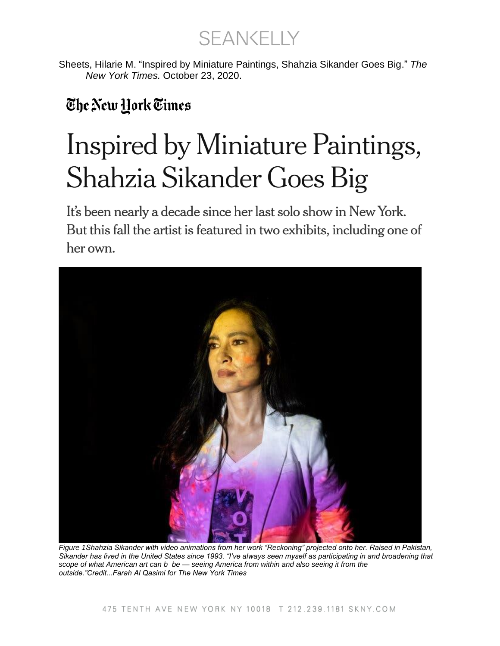**SEANKELLY** 

Sheets, Hilarie M. "Inspired by Miniature Paintings, Shahzia Sikander Goes Big." *The New York Times.* October 23, 2020.

## The New Hork Times

## Inspired by Miniature Paintings, Shahzia Sikander Goes Big

It's been nearly a decade since her last solo show in New York. But this fall the artist is featured in two exhibits, including one of her own.



*Figure 1Shahzia Sikander with video animations from her work "Reckoning" projected onto her. Raised in Pakistan, Sikander has lived in the United States since 1993. "I've always seen myself as participating in and broadening that scope of what American art can b be — seeing America from within and also seeing it from the outside."Credit...Farah Al Qasimi for The New York Times*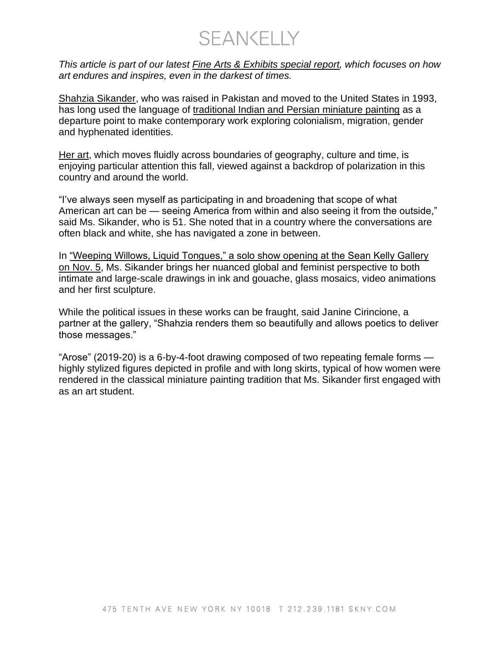SEANKELLY

*This article is part of our latest [Fine Arts & Exhibits special](https://www.nytimes.com/spotlight/fine-arts-special-section) report, which focuses on how art endures and inspires, even in the darkest of times.*

[Shahzia Sikander,](https://www.shahziasikander.com/) who was raised in Pakistan and moved to the United States in 1993, has long used the language of [traditional Indian and Persian miniature painting](https://www.iwamag.org/2018/02/27/indo-persian-miniature-painting/) as a departure point to make contemporary work exploring colonialism, migration, gender and hyphenated identities.

[Her art,](https://art21.org/artist/shahzia-sikander/) which moves fluidly across boundaries of geography, culture and time, is enjoying particular attention this fall, viewed against a backdrop of polarization in this country and around the world.

"I've always seen myself as participating in and broadening that scope of what American art can be — seeing America from within and also seeing it from the outside," said Ms. Sikander, who is 51. She noted that in a country where the conversations are often black and white, she has navigated a zone in between.

In ["Weeping Willows, Liquid Tongues," a solo show opening at the Sean Kelly Gallery](https://www.skny.com/exhibitions/shahzia-sikander)  [on Nov. 5,](https://www.skny.com/exhibitions/shahzia-sikander) Ms. Sikander brings her nuanced global and feminist perspective to both intimate and large-scale drawings in ink and gouache, glass mosaics, video animations and her first sculpture.

While the political issues in these works can be fraught, said Janine Cirincione, a partner at the gallery, "Shahzia renders them so beautifully and allows poetics to deliver those messages."

"Arose" (2019-20) is a 6-by-4-foot drawing composed of two repeating female forms highly stylized figures depicted in profile and with long skirts, typical of how women were rendered in the classical miniature painting tradition that Ms. Sikander first engaged with as an art student.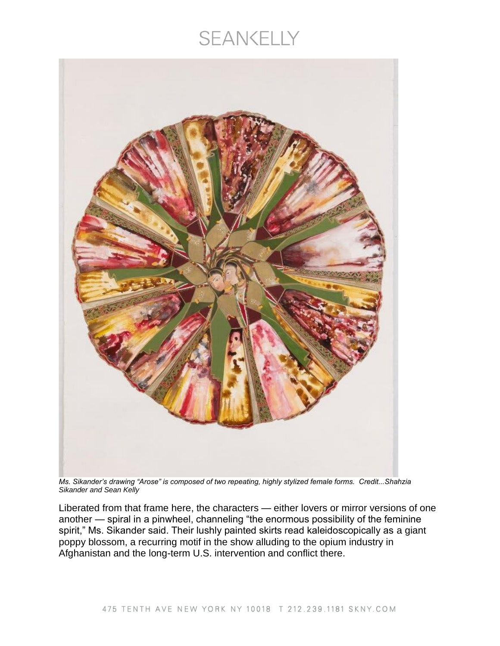## **SEANKELLY**



*Ms. Sikander's drawing "Arose" is composed of two repeating, highly stylized female forms. Credit...Shahzia Sikander and Sean Kelly*

Liberated from that frame here, the characters — either lovers or mirror versions of one another — spiral in a pinwheel, channeling "the enormous possibility of the feminine spirit," Ms. Sikander said. Their lushly painted skirts read kaleidoscopically as a giant poppy blossom, a recurring motif in the show alluding to the opium industry in Afghanistan and the long-term U.S. intervention and conflict there.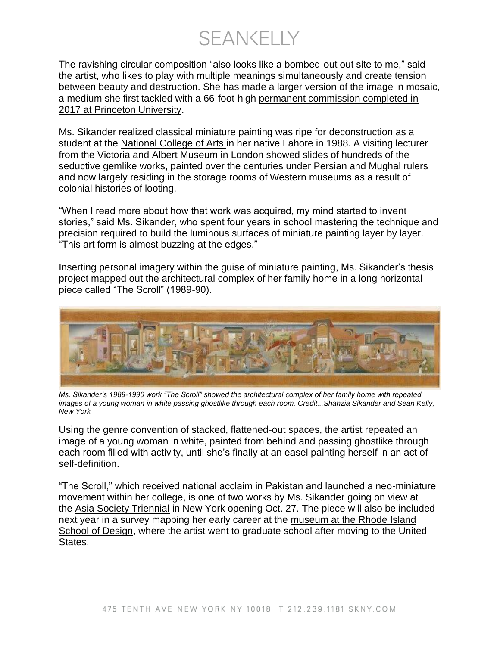**SEANKELLY** 

The ravishing circular composition "also looks like a bombed-out out site to me," said the artist, who likes to play with multiple meanings simultaneously and create tension between beauty and destruction. She has made a larger version of the image in mosaic, a medium she first tackled with a 66-foot-high [permanent commission completed in](https://artmuseum.princeton.edu/about/press-room/press-release/new-commission-internationally-acclaimed-artist-shahzia-sikander)  [2017 at Princeton University.](https://artmuseum.princeton.edu/about/press-room/press-release/new-commission-internationally-acclaimed-artist-shahzia-sikander)

Ms. Sikander realized classical miniature painting was ripe for deconstruction as a student at the [National College of Arts](https://www.nca.edu.pk/) in her native Lahore in 1988. A visiting lecturer from the Victoria and Albert Museum in London showed slides of hundreds of the seductive gemlike works, painted over the centuries under Persian and Mughal rulers and now largely residing in the storage rooms of Western museums as a result of colonial histories of looting.

"When I read more about how that work was acquired, my mind started to invent stories," said Ms. Sikander, who spent four years in school mastering the technique and precision required to build the luminous surfaces of miniature painting layer by layer. "This art form is almost buzzing at the edges."

Inserting personal imagery within the guise of miniature painting, Ms. Sikander's thesis project mapped out the architectural complex of her family home in a long horizontal piece called "The Scroll" (1989-90).



*Ms. Sikander's 1989-1990 work "The Scroll" showed the architectural complex of her family home with repeated images of a young woman in white passing ghostlike through each room. Credit...Shahzia Sikander and Sean Kelly, New York*

Using the genre convention of stacked, flattened-out spaces, the artist repeated an image of a young woman in white, painted from behind and passing ghostlike through each room filled with activity, until she's finally at an easel painting herself in an act of self-definition.

"The Scroll," which received national acclaim in Pakistan and launched a neo-miniature movement within her college, is one of two works by Ms. Sikander going on view at the [Asia Society Triennial](https://asiasociety.org/triennial) in New York opening Oct. 27. The piece will also be included next year in a survey mapping her early career at the [museum at the Rhode Island](https://risdmuseum.org/)  [School of Design,](https://risdmuseum.org/) where the artist went to graduate school after moving to the United States.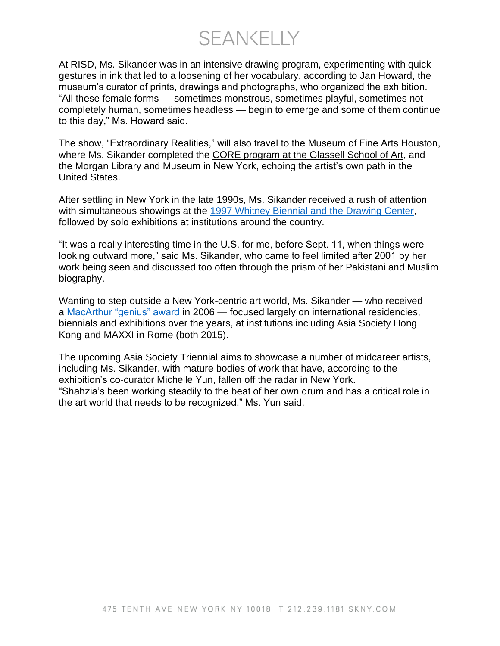SEANKELLY

At RISD, Ms. Sikander was in an intensive drawing program, experimenting with quick gestures in ink that led to a loosening of her vocabulary, according to Jan Howard, the museum's curator of prints, drawings and photographs, who organized the exhibition. "All these female forms — sometimes monstrous, sometimes playful, sometimes not completely human, sometimes headless — begin to emerge and some of them continue to this day," Ms. Howard said.

The show, "Extraordinary Realities," will also travel to the Museum of Fine Arts Houston, where Ms. Sikander completed the [CORE program at the Glassell School of Art,](https://www.mfah.org/fellowships/core-program) and the [Morgan Library and Museum](https://www.themorgan.org/) in New York, echoing the artist's own path in the United States.

After settling in New York in the late 1990s, Ms. Sikander received a rush of attention with simultaneous showings at the [1997 Whitney Biennial and the Drawing Center,](http://artasiapacific.com/Magazine/85/IntertwinedIdentities) followed by solo exhibitions at institutions around the country.

"It was a really interesting time in the U.S. for me, before Sept. 11, when things were looking outward more," said Ms. Sikander, who came to feel limited after 2001 by her work being seen and discussed too often through the prism of her Pakistani and Muslim biography.

Wanting to step outside a New York-centric art world, Ms. Sikander — who received a [MacArthur "genius" award](https://www.macfound.org/fellows/790/) in 2006 — focused largely on international residencies, biennials and exhibitions over the years, at institutions including Asia Society Hong Kong and MAXXI in Rome (both 2015).

The upcoming Asia Society Triennial aims to showcase a number of midcareer artists, including Ms. Sikander, with mature bodies of work that have, according to the exhibition's co-curator Michelle Yun, fallen off the radar in New York. "Shahzia's been working steadily to the beat of her own drum and has a critical role in the art world that needs to be recognized," Ms. Yun said.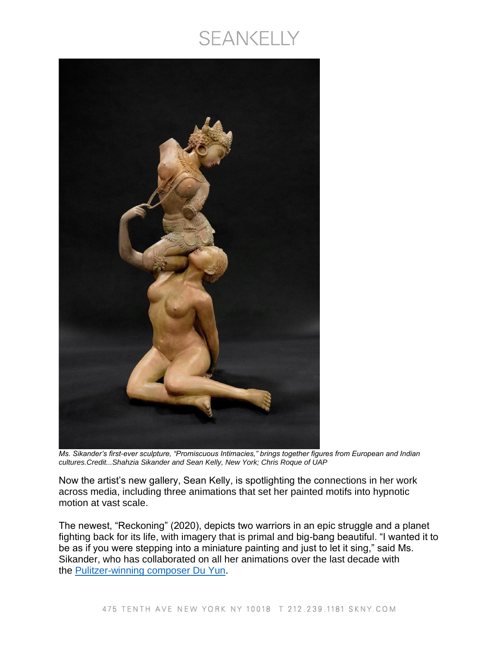## SEANKELLY



*Ms. Sikander's first-ever sculpture, "Promiscuous Intimacies," brings together figures from European and Indian cultures.Credit...Shahzia Sikander and Sean Kelly, New York; Chris Roque of UAP*

Now the artist's new gallery, Sean Kelly, is spotlighting the connections in her work across media, including three animations that set her painted motifs into hypnotic motion at vast scale.

The newest, "Reckoning" (2020), depicts two warriors in an epic struggle and a planet fighting back for its life, with imagery that is primal and big-bang beautiful. "I wanted it to be as if you were stepping into a miniature painting and just to let it sing," said Ms. Sikander, who has collaborated on all her animations over the last decade with the **[Pulitzer-winning composer Du Yun.](https://www.pulitzer.org/winners/du-yun)**